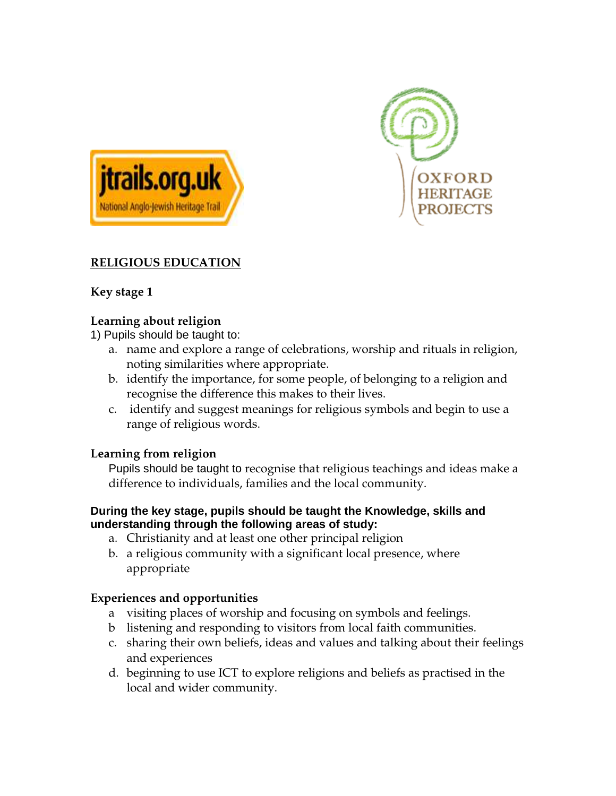



# **RELIGIOUS EDUCATION**

# **Key stage 1**

### **Learning about religion**

1) Pupils should be taught to:

- a. name and explore a range of celebrations, worship and rituals in religion, noting similarities where appropriate.
- b. identify the importance, for some people, of belonging to a religion and recognise the difference this makes to their lives.
- c. identify and suggest meanings for religious symbols and begin to use a range of religious words.

### **Learning from religion**

Pupils should be taught to recognise that religious teachings and ideas make a difference to individuals, families and the local community.

#### **During the key stage, pupils should be taught the Knowledge, skills and understanding through the following areas of study:**

- a. Christianity and at least one other principal religion
- b. a religious community with a significant local presence, where appropriate

### **Experiences and opportunities**

- a visiting places of worship and focusing on symbols and feelings.
- b listening and responding to visitors from local faith communities.
- c. sharing their own beliefs, ideas and values and talking about their feelings and experiences
- d. beginning to use ICT to explore religions and beliefs as practised in the local and wider community.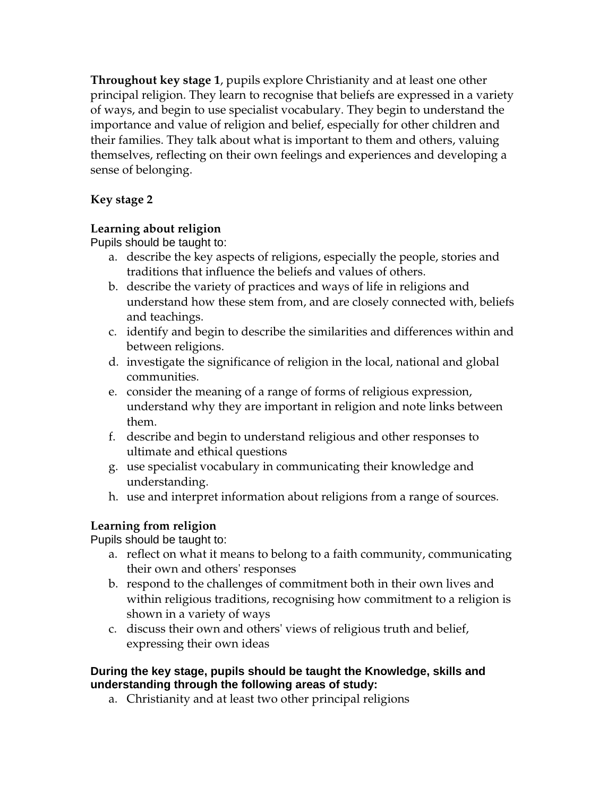**Throughout key stage 1**, pupils explore Christianity and at least one other principal religion. They learn to recognise that beliefs are expressed in a variety of ways, and begin to use specialist vocabulary. They begin to understand the importance and value of religion and belief, especially for other children and their families. They talk about what is important to them and others, valuing themselves, reflecting on their own feelings and experiences and developing a sense of belonging.

# **Key stage 2**

### **Learning about religion**

Pupils should be taught to:

- a. describe the key aspects of religions, especially the people, stories and traditions that influence the beliefs and values of others.
- b. describe the variety of practices and ways of life in religions and understand how these stem from, and are closely connected with, beliefs and teachings.
- c. identify and begin to describe the similarities and differences within and between religions.
- d. investigate the significance of religion in the local, national and global communities.
- e. consider the meaning of a range of forms of religious expression, understand why they are important in religion and note links between them.
- f. describe and begin to understand religious and other responses to ultimate and ethical questions
- g. use specialist vocabulary in communicating their knowledge and understanding.
- h. use and interpret information about religions from a range of sources.

# **Learning from religion**

Pupils should be taught to:

- a. reflect on what it means to belong to a faith community, communicating their own and others' responses
- b. respond to the challenges of commitment both in their own lives and within religious traditions, recognising how commitment to a religion is shown in a variety of ways
- c. discuss their own and others' views of religious truth and belief, expressing their own ideas

### **During the key stage, pupils should be taught the Knowledge, skills and understanding through the following areas of study:**

a. Christianity and at least two other principal religions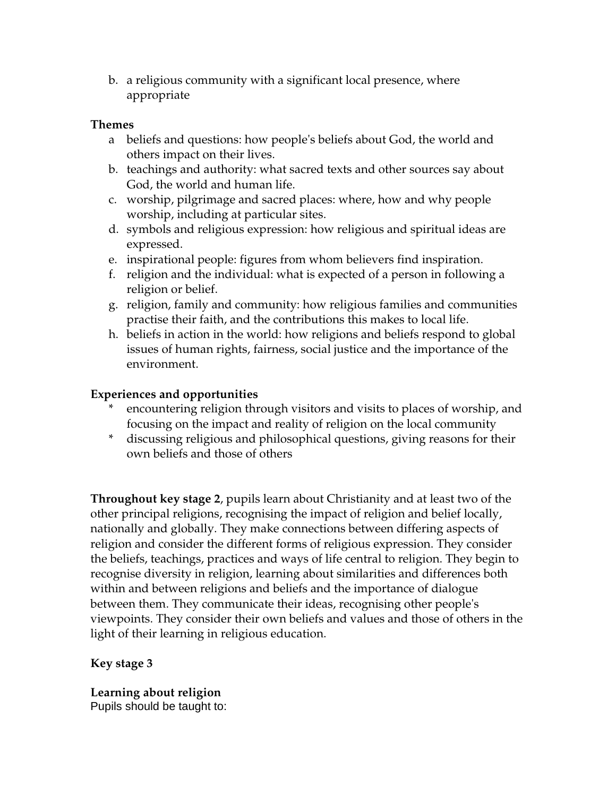b. a religious community with a significant local presence, where appropriate

#### **Themes**

- a beliefs and questions: how people's beliefs about God, the world and others impact on their lives.
- b. teachings and authority: what sacred texts and other sources say about God, the world and human life.
- c. worship, pilgrimage and sacred places: where, how and why people worship, including at particular sites.
- d. symbols and religious expression: how religious and spiritual ideas are expressed.
- e. inspirational people: figures from whom believers find inspiration.
- f. religion and the individual: what is expected of a person in following a religion or belief.
- g. religion, family and community: how religious families and communities practise their faith, and the contributions this makes to local life.
- h. beliefs in action in the world: how religions and beliefs respond to global issues of human rights, fairness, social justice and the importance of the environment.

### **Experiences and opportunities**

- encountering religion through visitors and visits to places of worship, and focusing on the impact and reality of religion on the local community
- \* discussing religious and philosophical questions, giving reasons for their own beliefs and those of others

**Throughout key stage 2**, pupils learn about Christianity and at least two of the other principal religions, recognising the impact of religion and belief locally, nationally and globally. They make connections between differing aspects of religion and consider the different forms of religious expression. They consider the beliefs, teachings, practices and ways of life central to religion. They begin to recognise diversity in religion, learning about similarities and differences both within and between religions and beliefs and the importance of dialogue between them. They communicate their ideas, recognising other people's viewpoints. They consider their own beliefs and values and those of others in the light of their learning in religious education.

# **Key stage 3**

**Learning about religion** Pupils should be taught to: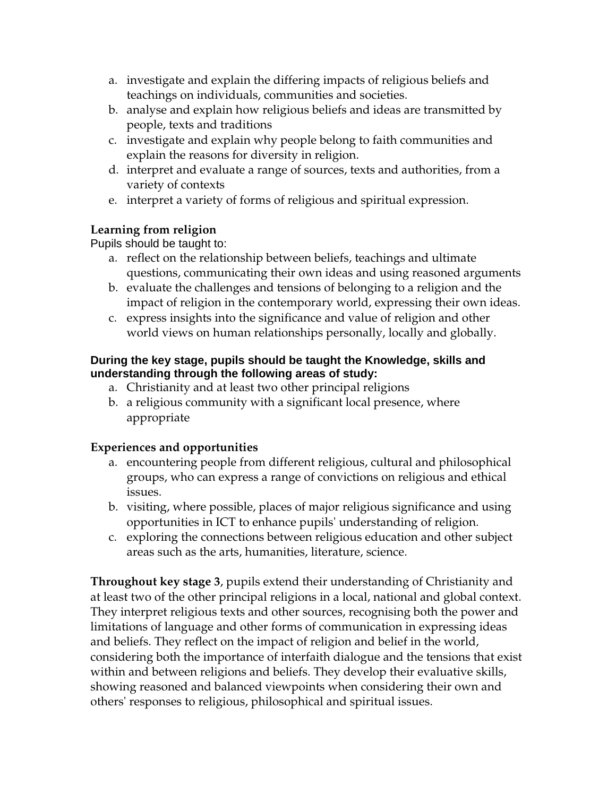- a. investigate and explain the differing impacts of religious beliefs and teachings on individuals, communities and societies.
- b. analyse and explain how religious beliefs and ideas are transmitted by people, texts and traditions
- c. investigate and explain why people belong to faith communities and explain the reasons for diversity in religion.
- d. interpret and evaluate a range of sources, texts and authorities, from a variety of contexts
- e. interpret a variety of forms of religious and spiritual expression.

# **Learning from religion**

Pupils should be taught to:

- a. reflect on the relationship between beliefs, teachings and ultimate questions, communicating their own ideas and using reasoned arguments
- b. evaluate the challenges and tensions of belonging to a religion and the impact of religion in the contemporary world, expressing their own ideas.
- c. express insights into the significance and value of religion and other world views on human relationships personally, locally and globally.

#### **During the key stage, pupils should be taught the Knowledge, skills and understanding through the following areas of study:**

- a. Christianity and at least two other principal religions
- b. a religious community with a significant local presence, where appropriate

# **Experiences and opportunities**

- a. encountering people from different religious, cultural and philosophical groups, who can express a range of convictions on religious and ethical issues.
- b. visiting, where possible, places of major religious significance and using opportunities in ICT to enhance pupils' understanding of religion.
- c. exploring the connections between religious education and other subject areas such as the arts, humanities, literature, science.

**Throughout key stage 3**, pupils extend their understanding of Christianity and at least two of the other principal religions in a local, national and global context. They interpret religious texts and other sources, recognising both the power and limitations of language and other forms of communication in expressing ideas and beliefs. They reflect on the impact of religion and belief in the world, considering both the importance of interfaith dialogue and the tensions that exist within and between religions and beliefs. They develop their evaluative skills, showing reasoned and balanced viewpoints when considering their own and others' responses to religious, philosophical and spiritual issues.